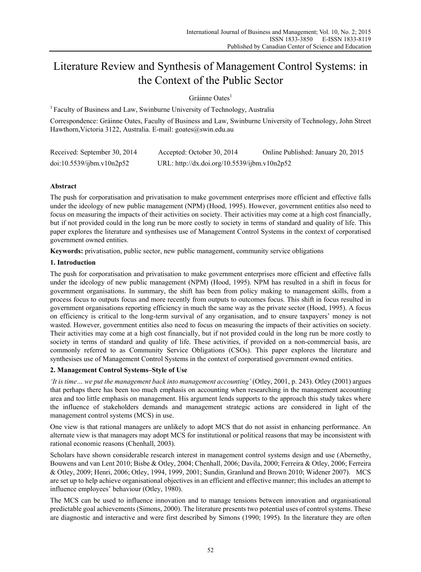# Literature Review and Synthesis of Management Control Systems: in the Context of the Public Sector

Gráinne Oates<sup>1</sup>

<sup>1</sup> Faculty of Business and Law, Swinburne University of Technology, Australia

Correspondence: Gráinne Oates, Faculty of Business and Law, Swinburne University of Technology, John Street Hawthorn,Victoria 3122, Australia. E-mail: goates@swin.edu.au

| Received: September 30, 2014 | Accepted: October 30, 2014                   | Online Published: January 20, 2015 |
|------------------------------|----------------------------------------------|------------------------------------|
| doi:10.5539/ijbm.v10n2p52    | URL: http://dx.doi.org/10.5539/ijbm.v10n2p52 |                                    |

## **Abstract**

The push for corporatisation and privatisation to make government enterprises more efficient and effective falls under the ideology of new public management (NPM) (Hood, 1995). However, government entities also need to focus on measuring the impacts of their activities on society. Their activities may come at a high cost financially, but if not provided could in the long run be more costly to society in terms of standard and quality of life. This paper explores the literature and synthesises use of Management Control Systems in the context of corporatised government owned entities.

**Keywords:** privatisation, public sector, new public management, community service obligations

### **1. Introduction**

The push for corporatisation and privatisation to make government enterprises more efficient and effective falls under the ideology of new public management (NPM) (Hood, 1995). NPM has resulted in a shift in focus for government organisations. In summary, the shift has been from policy making to management skills, from a process focus to outputs focus and more recently from outputs to outcomes focus. This shift in focus resulted in government organisations reporting efficiency in much the same way as the private sector (Hood, 1995). A focus on efficiency is critical to the long-term survival of any organisation, and to ensure taxpayers' money is not wasted. However, government entities also need to focus on measuring the impacts of their activities on society. Their activities may come at a high cost financially, but if not provided could in the long run be more costly to society in terms of standard and quality of life. These activities, if provided on a non-commercial basis, are commonly referred to as Community Service Obligations (CSOs). This paper explores the literature and synthesises use of Management Control Systems in the context of corporatised government owned entities.

## **2. Management Control Systems–Style of Use**

*'It is time… we put the management back into management accounting'* (Otley, 2001, p. 243). Otley (2001) argues that perhaps there has been too much emphasis on accounting when researching in the management accounting area and too little emphasis on management. His argument lends supports to the approach this study takes where the influence of stakeholders demands and management strategic actions are considered in light of the management control systems (MCS) in use.

One view is that rational managers are unlikely to adopt MCS that do not assist in enhancing performance. An alternate view is that managers may adopt MCS for institutional or political reasons that may be inconsistent with rational economic reasons (Chenhall, 2003).

Scholars have shown considerable research interest in management control systems design and use (Abernethy, Bouwens and van Lent 2010; Bisbe & Otley, 2004; Chenhall, 2006; Davila, 2000; Ferreira & Otley, 2006; Ferreira & Otley, 2009; Henri, 2006; Otley, 1994, 1999, 2001; Sundin, Granlund and Brown 2010; Widener 2007). MCS are set up to help achieve organisational objectives in an efficient and effective manner; this includes an attempt to influence employees' behaviour (Otley, 1980).

The MCS can be used to influence innovation and to manage tensions between innovation and organisational predictable goal achievements (Simons, 2000). The literature presents two potential uses of control systems. These are diagnostic and interactive and were first described by Simons (1990; 1995). In the literature they are often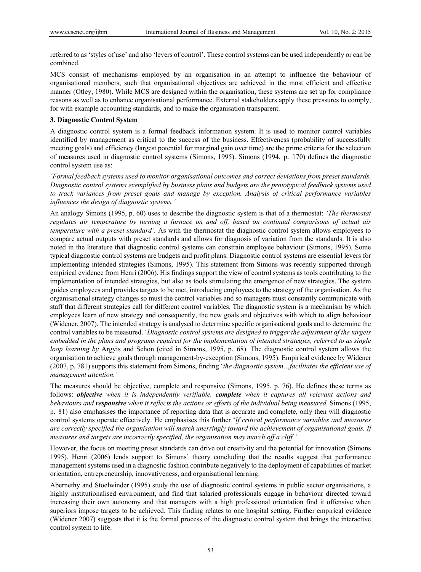referred to as 'styles of use' and also 'levers of control'. These control systems can be used independently or can be combined.

MCS consist of mechanisms employed by an organisation in an attempt to influence the behaviour of organisational members, such that organisational objectives are achieved in the most efficient and effective manner (Otley, 1980). While MCS are designed within the organisation, these systems are set up for compliance reasons as well as to enhance organisational performance. External stakeholders apply these pressures to comply, for with example accounting standards, and to make the organisation transparent.

#### **3. Diagnostic Control System**

A diagnostic control system is a formal feedback information system. It is used to monitor control variables identified by management as critical to the success of the business. Effectiveness (probability of successfully meeting goals) and efficiency (largest potential for marginal gain over time) are the prime criteria for the selection of measures used in diagnostic control systems (Simons, 1995). Simons (1994, p. 170) defines the diagnostic control system use as:

*'Formal feedback systems used to monitor organisational outcomes and correct deviations from preset standards. Diagnostic control systems exemplified by business plans and budgets are the prototypical feedback systems used to track variances from preset goals and manage by exception. Analysis of critical performance variables influences the design of diagnostic systems.'* 

An analogy Simons (1995, p. 60) uses to describe the diagnostic system is that of a thermostat: *'The thermostat regulates air temperature by turning a furnace on and off, based on continual comparisons of actual air temperature with a preset standard'*. As with the thermostat the diagnostic control system allows employees to compare actual outputs with preset standards and allows for diagnosis of variation from the standards. It is also noted in the literature that diagnostic control systems can constrain employee behaviour (Simons, 1995). Some typical diagnostic control systems are budgets and profit plans. Diagnostic control systems are essential levers for implementing intended strategies (Simons, 1995). This statement from Simons was recently supported through empirical evidence from Henri (2006). His findings support the view of control systems as tools contributing to the implementation of intended strategies, but also as tools stimulating the emergence of new strategies. The system guides employees and provides targets to be met, introducing employees to the strategy of the organisation. As the organisational strategy changes so must the control variables and so managers must constantly communicate with staff that different strategies call for different control variables. The diagnostic system is a mechanism by which employees learn of new strategy and consequently, the new goals and objectives with which to align behaviour (Widener, 2007). The intended strategy is analysed to determine specific organisational goals and to determine the control variables to be measured. '*Diagnostic control systems are designed to trigger the adjustment of the targets embedded in the plans and programs required for the implementation of intended strategies, referred to as single loop learning by Argyis and Schon (cited in Simons, 1995, p. 68). The diagnostic control system allows the* organisation to achieve goals through management-by-exception (Simons, 1995). Empirical evidence by Widener (2007, p. 781) supports this statement from Simons, finding '*the diagnostic system…facilitates the efficient use of management attention.'* 

The measures should be objective, complete and responsive (Simons, 1995, p. 76). He defines these terms as follows: *objective when it is independently verifiable, complete when it captures all relevant actions and behaviours and responsive when it reflects the actions or efforts of the individual being measured.* Simons (1995, p. 81) also emphasises the importance of reporting data that is accurate and complete, only then will diagnostic control systems operate effectively. He emphasises this further '*If critical performance variables and measures are correctly specified the organisation will march unerringly toward the achievement of organisational goals. If measures and targets are incorrectly specified, the organisation may march off a cliff.'* 

However, the focus on meeting preset standards can drive out creativity and the potential for innovation (Simons 1995). Henri (2006) lends support to Simons' theory concluding that the results suggest that performance management systems used in a diagnostic fashion contribute negatively to the deployment of capabilities of market orientation, entrepreneurship, innovativeness, and organisational learning.

Abernethy and Stoelwinder (1995) study the use of diagnostic control systems in public sector organisations, a highly institutionalised environment, and find that salaried professionals engage in behaviour directed toward increasing their own autonomy and that managers with a high professional orientation find it offensive when superiors impose targets to be achieved. This finding relates to one hospital setting. Further empirical evidence (Widener 2007) suggests that it is the formal process of the diagnostic control system that brings the interactive control system to life.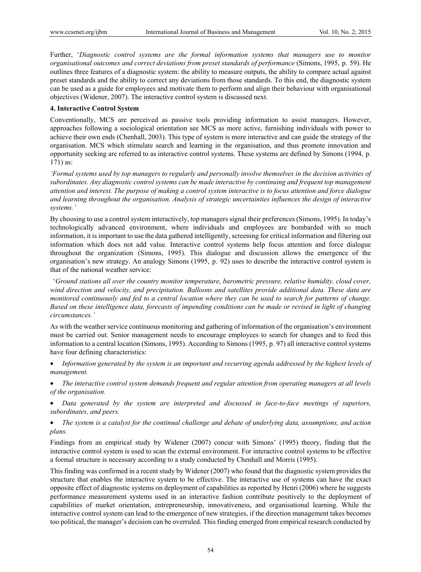Further, '*Diagnostic control systems are the formal information systems that managers use to monitor organisational outcomes and correct deviations from preset standards of performance* (Simons, 1995, p. 59). He outlines three features of a diagnostic system: the ability to measure outputs, the ability to compare actual against preset standards and the ability to correct any deviations from those standards. To this end, the diagnostic system can be used as a guide for employees and motivate them to perform and align their behaviour with organisational objectives (Widener, 2007). The interactive control system is discussed next.

#### **4. Interactive Control System**

Conventionally, MCS are perceived as passive tools providing information to assist managers. However, approaches following a sociological orientation see MCS as more active, furnishing individuals with power to achieve their own ends (Chenhall, 2003). This type of system is more interactive and can guide the strategy of the organisation. MCS which stimulate search and learning in the organisation, and thus promote innovation and opportunity seeking are referred to as interactive control systems. These systems are defined by Simons (1994, p. 171) as:

*'Formal systems used by top managers to regularly and personally involve themselves in the decision activities of subordinates. Any diagnostic control systems can be made interactive by continuing and frequent top management attention and interest. The purpose of making a control system interactive is to focus attention and force dialogue and learning throughout the organisation. Analysis of strategic uncertainties influences the design of interactive systems.'*

By choosing to use a control system interactively, top managers signal their preferences (Simons, 1995). In today's technologically advanced environment, where individuals and employees are bombarded with so much information, it is important to use the data gathered intelligently, screening for critical information and filtering out information which does not add value. Interactive control systems help focus attention and force dialogue throughout the organization (Simons, 1995). This dialogue and discussion allows the emergence of the organisation's new strategy. An analogy Simons (1995, p. 92) uses to describe the interactive control system is that of the national weather service:

 '*Ground stations all over the country monitor temperature, barometric pressure, relative humidity, cloud cover, wind direction and velocity, and precipitation. Balloons and satellites provide additional data. These data are monitored continuously and fed to a central location where they can be used to search for patterns of change. Based on these intelligence data, forecasts of impending conditions can be made or revised in light of changing circumstances.'*

As with the weather service continuous monitoring and gathering of information of the organisation's environment must be carried out. Senior management needs to encourage employees to search for changes and to feed this information to a central location (Simons, 1995). According to Simons (1995, p. 97) all interactive control systems have four defining characteristics:

- *Information generated by the system is an important and recurring agenda addressed by the highest levels of management.*
- *The interactive control system demands frequent and regular attention from operating managers at all levels of the organisation.*
- *Data generated by the system are interpreted and discussed in face-to-face meetings of superiors, subordinates, and peers.*

 *The system is a catalyst for the continual challenge and debate of underlying data, assumptions, and action plans.* 

Findings from an empirical study by Widener (2007) concur with Simons' (1995) theory, finding that the interactive control system is used to scan the external environment. For interactive control systems to be effective a formal structure is necessary according to a study conducted by Chenhall and Morris (1995).

This finding was confirmed in a recent study by Widener (2007) who found that the diagnostic system provides the structure that enables the interactive system to be effective. The interactive use of systems can have the exact opposite effect of diagnostic systems on deployment of capabilities as reported by Henri (2006) where he suggests performance measurement systems used in an interactive fashion contribute positively to the deployment of capabilities of market orientation, entrepreneurship, innovativeness, and organisational learning. While the interactive control system can lead to the emergence of new strategies, if the direction management takes becomes too political, the manager's decision can be overruled. This finding emerged from empirical research conducted by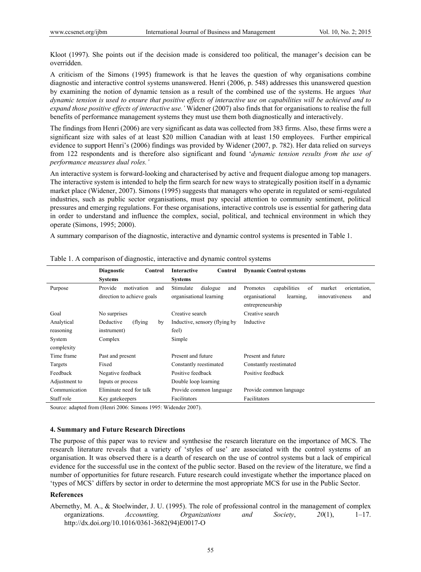Kloot (1997). She points out if the decision made is considered too political, the manager's decision can be overridden.

A criticism of the Simons (1995) framework is that he leaves the question of why organisations combine diagnostic and interactive control systems unanswered. Henri (2006, p. 548) addresses this unanswered question by examining the notion of dynamic tension as a result of the combined use of the systems. He argues *'that dynamic tension is used to ensure that positive effects of interactive use on capabilities will be achieved and to expand those positive effects of interactive use.'* Widener (2007) also finds that for organisations to realise the full benefits of performance management systems they must use them both diagnostically and interactively.

The findings from Henri (2006) are very significant as data was collected from 383 firms. Also, these firms were a significant size with sales of at least \$20 million Canadian with at least 150 employees. Further empirical evidence to support Henri's (2006) findings was provided by Widener (2007, p. 782). Her data relied on surveys from 122 respondents and is therefore also significant and found '*dynamic tension results from the use of performance measures dual roles.'* 

An interactive system is forward-looking and characterised by active and frequent dialogue among top managers. The interactive system is intended to help the firm search for new ways to strategically position itself in a dynamic market place (Widener, 2007). Simons (1995) suggests that managers who operate in regulated or semi-regulated industries, such as public sector organisations, must pay special attention to community sentiment, political pressures and emerging regulations. For these organisations, interactive controls use is essential for gathering data in order to understand and influence the complex, social, political, and technical environment in which they operate (Simons, 1995; 2000).

A summary comparison of the diagnostic, interactive and dynamic control systems is presented in Table 1.

|               | <b>Diagnostic</b><br>Control | <b>Interactive</b><br>Control  | <b>Dynamic Control systems</b>                                           |
|---------------|------------------------------|--------------------------------|--------------------------------------------------------------------------|
|               | <b>Systems</b>               | <b>Systems</b>                 |                                                                          |
| Purpose       | Provide<br>motivation<br>and | Stimulate<br>dialogue<br>and   | capabilities<br>of<br>Promotes<br>market<br>orientation,                 |
|               | direction to achieve goals   | organisational learning        | learning.<br>organisational<br>innovativeness<br>and<br>entrepreneurship |
| Goal          | No surprises                 | Creative search                | Creative search                                                          |
| Analytical    | Deductive<br>(flying)<br>by  | Inductive, sensory (flying by) | Inductive                                                                |
| reasoning     | instrument)                  | feel)                          |                                                                          |
| System        | Complex                      | Simple                         |                                                                          |
| complexity    |                              |                                |                                                                          |
| Time frame    | Past and present             | Present and future             | Present and future                                                       |
| Targets       | Fixed                        | Constantly reestimated         | Constantly reestimated                                                   |
| Feedback      | Negative feedback            | Positive feedback              | Positive feedback                                                        |
| Adjustment to | Inputs or process            | Double loop learning           |                                                                          |
| Communication | Eliminate need for talk      | Provide common language        | Provide common language                                                  |
| Staff role    | Key gatekeepers              | Facilitators                   | Facilitators                                                             |

Table 1. A comparison of diagnostic, interactive and dynamic control systems

Source: adapted from (Henri 2006: Simons 1995: Widender 2007).

#### **4. Summary and Future Research Directions**

The purpose of this paper was to review and synthesise the research literature on the importance of MCS. The research literature reveals that a variety of 'styles of use' are associated with the control systems of an organisation. It was observed there is a dearth of research on the use of control systems but a lack of empirical evidence for the successful use in the context of the public sector. Based on the review of the literature, we find a number of opportunities for future research. Future research could investigate whether the importance placed on 'types of MCS' differs by sector in order to determine the most appropriate MCS for use in the Public Sector.

#### **References**

Abernethy, M. A., & Stoelwinder, J. U. (1995). The role of professional control in the management of complex organizations. *Accounting, Organizations and Society*, *20*(1), 1–17. http://dx.doi.org/10.1016/0361-3682(94)E0017-O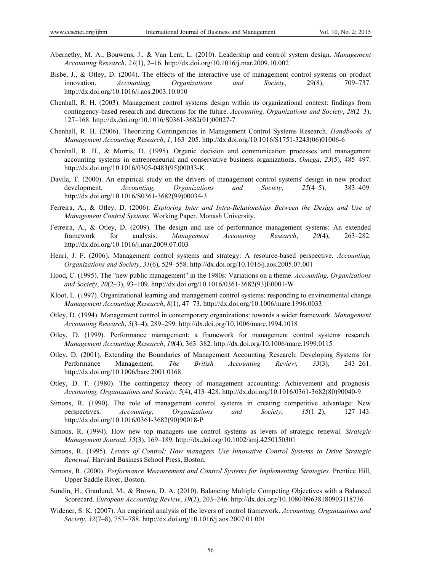- Abernethy, M. A., Bouwens, J., & Van Lent, L. (2010). Leadership and control system design. *Management Accounting Research*, *21*(1), 2–16. http://dx.doi.org/10.1016/j.mar.2009.10.002
- Bisbe, J., & Otley, D. (2004). The effects of the interactive use of management control systems on product innovation. *Accounting, Organizations and Society*, 29(8), 709–737. http://dx.doi.org/10.1016/j.aos.2003.10.010
- Chenhall, R. H. (2003). Management control systems design within its organizational context: findings from contingency-based research and directions for the future. *Accounting, Organizations and Society*, *28*(2–3), 127–168. http://dx.doi.org/10.1016/S0361-3682(01)00027-7
- Chenhall, R. H. (2006). Theorizing Contingencies in Management Control Systems Research. *Handbooks of Management Accounting Research*, *1*, 163–205. http://dx.doi.org/10.1016/S1751-3243(06)01006-6
- Chenhall, R. H., & Morris, D. (1995). Organic decision and communication processes and management accounting systems in entrepreneurial and conservative business organizations. *Omega*, *23*(5), 485–497. http://dx.doi.org/10.1016/0305-0483(95)00033-K
- Davila, T. (2000). An empirical study on the drivers of management control systems' design in new product development. *Accounting, Organizations and Society*, *25*(4–5), 383–409. http://dx.doi.org/10.1016/S0361-3682(99)00034-3
- Ferreira, A., & Otley, D. (2006). *Exploring Inter and Intra-Relationships Between the Design and Use of Management Control Systems*. Working Paper. Monash University.
- Ferreira, A., & Otley, D. (2009). The design and use of performance management systems: An extended framework for analysis. *Management Accounting Research*, *20*(4), 263–282. http://dx.doi.org/10.1016/j.mar.2009.07.003
- Henri, J. F. (2006). Management control systems and strategy: A resource-based perspective. *Accounting, Organizations and Society*, *31*(6), 529–558. http://dx.doi.org/10.1016/j.aos.2005.07.001
- Hood, C. (1995). The "new public management" in the 1980s: Variations on a theme. *Accounting, Organizations and Society*, *20*(2–3), 93–109. http://dx.doi.org/10.1016/0361-3682(93)E0001-W
- Kloot, L. (1997). Organizational learning and management control systems: responding to environmental change. *Management Accounting Research*, *8*(1), 47–73. http://dx.doi.org/10.1006/mare.1996.0033
- Otley, D. (1994). Management control in contemporary organizations: towards a wider framework. *Management Accounting Research*, *5*(3–4), 289–299. http://dx.doi.org/10.1006/mare.1994.1018
- Otley, D. (1999). Performance management: a framework for management control systems research. *Management Accounting Research*, *10*(4), 363–382. http://dx.doi.org/10.1006/mare.1999.0115
- Otley, D. (2001). Extending the Boundaries of Management Accounting Research: Developing Systems for Performance Management. *The British Accounting Review*, *33*(3), 243–261. http://dx.doi.org/10.1006/bare.2001.0168
- Otley, D. T. (1980). The contingency theory of management accounting: Achievement and prognosis. *Accounting, Organizations and Society*, *5*(4), 413–428. http://dx.doi.org/10.1016/0361-3682(80)90040-9
- Simons, R. (1990). The role of management control systems in creating competitive advantage: New perspectives. *Accounting, Organizations and Society*, *15*(1–2), 127–143. http://dx.doi.org/10.1016/0361-3682(90)90018-P
- Simons, R. (1994). How new top managers use control systems as levers of strategic renewal. *Strategic Management Journal*, *15*(3), 169–189. http://dx.doi.org/10.1002/smj.4250150301
- Simons, R. (1995). *Levers of Control: How managers Use Innovative Control Systems to Drive Strategic Renewal.* Harvard Business School Press, Boston.
- Simons, R. (2000). *Performance Measurement and Control Systems for Implementing Strategies.* Prentice Hill, Upper Saddle River, Boston.
- Sundin, H., Granlund, M., & Brown, D. A. (2010). Balancing Multiple Competing Objectives with a Balanced Scorecard. *European Accounting Review*, *19*(2), 203–246. http://dx.doi.org/10.1080/09638180903118736
- Widener, S. K. (2007). An empirical analysis of the levers of control framework. *Accounting, Organizations and Society*, *32*(7–8), 757–788. http://dx.doi.org/10.1016/j.aos.2007.01.001